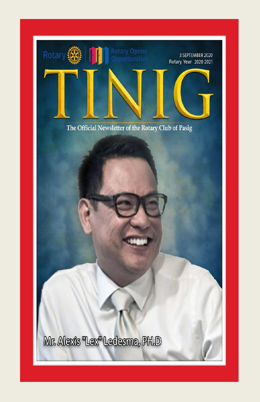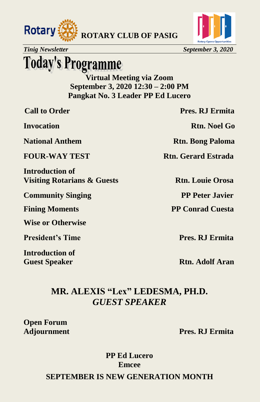



# **Today's Programme**

**Virtual Meeting via Zoom September 3, 2020 12:30 – 2:00 PM Pangkat No. 3 Leader PP Ed Lucero**

**Introduction of Visiting Rotarians & Guests Rtn. Louie Orosa** 

**Community Singing PP Peter Javier** 

**Wise or Otherwise** 

**President's Time Pres. RJ Ermita** 

**Introduction of**

**Call to Order Pres. RJ Ermita** 

**Invocation Rtn. Noel Go**

**National Anthem Rtn. Bong Paloma** 

**FOUR-WAY TEST Rtn. Gerard Estrada** 

**Fining Moments** PP Conrad Cuesta

**Guest Speaker Rtn. Adolf Aran** 

### **MR. ALEXIS "Lex" LEDESMA, PH.D.** *GUEST SPEAKER*

**Open Forum**

**Adjournment Pres. RJ Ermita**

**PP Ed Lucero Emcee**

**SEPTEMBER IS NEW GENERATION MONTH**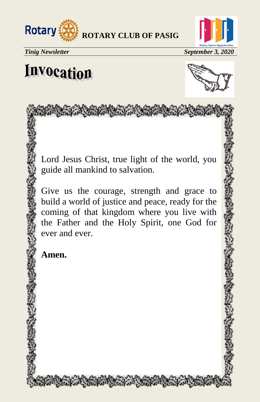



# **Invocation**



### Lord Jesus Christ, true light of the world, you guide all mankind to salvation.

Amy that the first that the control to the

Give us the courage, strength and grace to build a world of justice and peace, ready for the coming of that kingdom where you live with the Father and the Holy Spirit, one God for ever and ever.

**Amen.**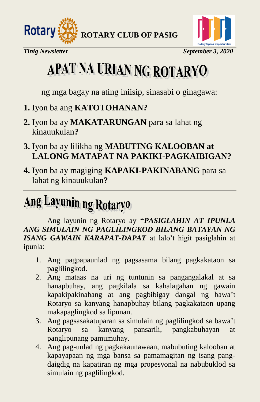



# APAT NA URIAN NG ROTARYO

ng mga bagay na ating iniisip, sinasabi o ginagawa:

- **1.** Iyon ba ang **KATOTOHANAN?**
- **2.** Iyon ba ay **MAKATARUNGAN** para sa lahat ng kinauukulan**?**
- **3.** Iyon ba ay lilikha ng **MABUTING KALOOBAN at LALONG MATAPAT NA PAKIKI-PAGKAIBIGAN?**
- **4.** Iyon ba ay magiging **KAPAKI-PAKINABANG** para sa lahat ng kinauukulan**?**

# Ang Layunin ng Rotaryo

Ang layunin ng Rotaryo ay **"***PASIGLAHIN AT IPUNLA ANG SIMULAIN NG PAGLILINGKOD BILANG BATAYAN NG ISANG GAWAIN KARAPAT-DAPAT* at lalo't higit pasiglahin at ipunla:

- 1. Ang pagpapaunlad ng pagsasama bilang pagkakataon sa paglilingkod.
- 2. Ang mataas na uri ng tuntunin sa pangangalakal at sa hanapbuhay, ang pagkilala sa kahalagahan ng gawain kapakipakinabang at ang pagbibigay dangal ng bawa't Rotaryo sa kanyang hanapbuhay bilang pagkakataon upang makapaglingkod sa lipunan.
- 3. Ang pagsasakatuparan sa simulain ng paglilingkod sa bawa't Rotaryo sa kanyang pansarili, pangkabuhayan at panglipunang pamumuhay.
- 4. Ang pag-unlad ng pagkakaunawaan, mabubuting kalooban at kapayapaan ng mga bansa sa pamamagitan ng isang pangdaigdig na kapatiran ng mga propesyonal na nabubuklod sa simulain ng paglilingkod.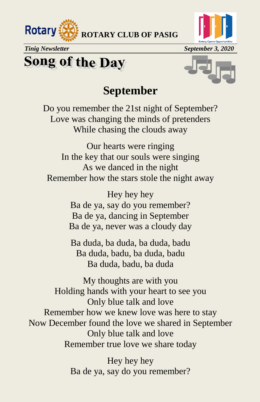



*Tinig Newsletter* September 3, 2020

### **Song of the Day**



### **September**

Do you remember the 21st night of September? Love was changing the minds of pretenders While chasing the clouds away

Our hearts were ringing In the key that our souls were singing As we danced in the night Remember how the stars stole the night away

> Hey hey hey Ba de ya, say do you remember? Ba de ya, dancing in September Ba de ya, never was a cloudy day

Ba duda, ba duda, ba duda, badu Ba duda, badu, ba duda, badu Ba duda, badu, ba duda

My thoughts are with you Holding hands with your heart to see you Only blue talk and love Remember how we knew love was here to stay Now December found the love we shared in September Only blue talk and love Remember true love we share today

> Hey hey hey Ba de ya, say do you remember?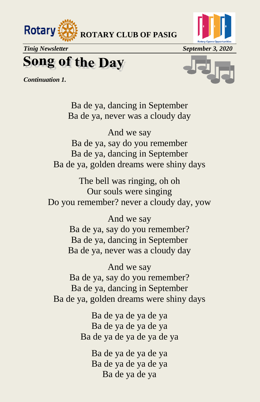



## **Song of the Day**

*Continuation 1.*



Ba de ya, dancing in September Ba de ya, never was a cloudy day

And we say Ba de ya, say do you remember Ba de ya, dancing in September Ba de ya, golden dreams were shiny days

The bell was ringing, oh oh Our souls were singing Do you remember? never a cloudy day, yow

> And we say Ba de ya, say do you remember? Ba de ya, dancing in September Ba de ya, never was a cloudy day

And we say Ba de ya, say do you remember? Ba de ya, dancing in September Ba de ya, golden dreams were shiny days

> Ba de ya de ya de ya Ba de ya de ya de ya Ba de ya de ya de ya de ya

> > Ba de ya de ya de ya Ba de ya de ya de ya Ba de ya de ya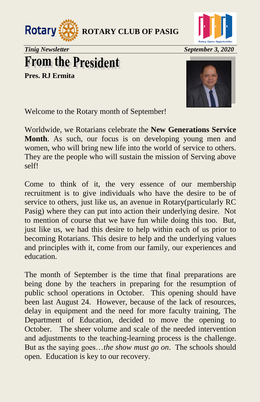



## **From the President**

**Pres. RJ Ermita**



Welcome to the Rotary month of September!

Worldwide, we Rotarians celebrate the **New Generations Service Month**. As such, our focus is on developing young men and women, who will bring new life into the world of service to others. They are the people who will sustain the mission of Serving above self!

Come to think of it, the very essence of our membership recruitment is to give individuals who have the desire to be of service to others, just like us, an avenue in Rotary(particularly RC Pasig) where they can put into action their underlying desire. Not to mention of course that we have fun while doing this too. But, just like us, we had this desire to help within each of us prior to becoming Rotarians. This desire to help and the underlying values and principles with it, come from our family, our experiences and education.

The month of September is the time that final preparations are being done by the teachers in preparing for the resumption of public school operations in October. This opening should have been last August 24. However, because of the lack of resources, delay in equipment and the need for more faculty training, The Department of Education, decided to move the opening to October. The sheer volume and scale of the needed intervention and adjustments to the teaching-learning process is the challenge. But as the saying goes…*the show must go on*. The schools should open. Education is key to our recovery.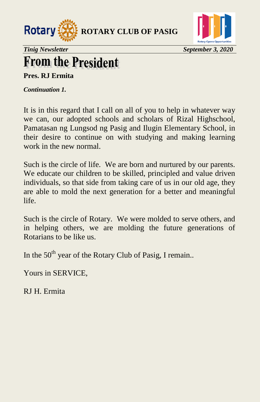



## **From the President**

**Pres. RJ Ermita**

*Continuation 1.* 

It is in this regard that I call on all of you to help in whatever way we can, our adopted schools and scholars of Rizal Highschool, Pamatasan ng Lungsod ng Pasig and Ilugin Elementary School, in their desire to continue on with studying and making learning work in the new normal.

Such is the circle of life. We are born and nurtured by our parents. We educate our children to be skilled, principled and value driven individuals, so that side from taking care of us in our old age, they are able to mold the next generation for a better and meaningful life.

Such is the circle of Rotary. We were molded to serve others, and in helping others, we are molding the future generations of Rotarians to be like us.

In the  $50<sup>th</sup>$  year of the Rotary Club of Pasig, I remain..

Yours in SERVICE,

RJ H. Ermita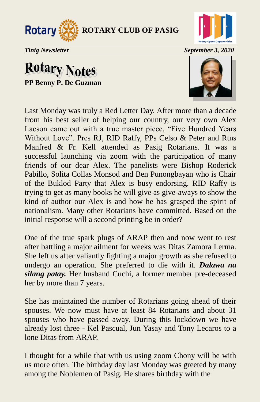



### **Rotary Notes PP Benny P. De Guzman**



Last Monday was truly a Red Letter Day. After more than a decade from his best seller of helping our country, our very own Alex Lacson came out with a true master piece, "Five Hundred Years Without Love". Pres RJ, RID Raffy, PPs Celso & Peter and Rtns Manfred & Fr. Kell attended as Pasig Rotarians. It was a successful launching via zoom with the participation of many friends of our dear Alex. The panelists were Bishop Roderick Pabillo, Solita Collas Monsod and Ben Punongbayan who is Chair of the Buklod Party that Alex is busy endorsing. RID Raffy is trying to get as many books he will give as give-aways to show the kind of author our Alex is and how he has grasped the spirit of nationalism. Many other Rotarians have committed. Based on the initial response will a second printing be in order?

One of the true spark plugs of ARAP then and now went to rest after battling a major ailment for weeks was Ditas Zamora Lerma. She left us after valiantly fighting a major growth as she refused to undergo an operation. She preferred to die with it. *Dalawa na silang patay.* Her husband Cuchi, a former member pre-deceased her by more than 7 years.

She has maintained the number of Rotarians going ahead of their spouses. We now must have at least 84 Rotarians and about 31 spouses who have passed away. During this lockdown we have already lost three - Kel Pascual, Jun Yasay and Tony Lecaros to a lone Ditas from ARAP.

I thought for a while that with us using zoom Chony will be with us more often. The birthday day last Monday was greeted by many among the Noblemen of Pasig. He shares birthday with the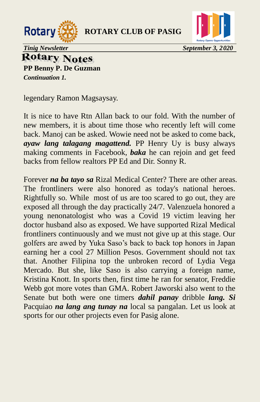



**Rotary Notes** 

**PP Benny P. De Guzman** *Continuation 1.* 

legendary Ramon Magsaysay.

It is nice to have Rtn Allan back to our fold. With the number of new members, it is about time those who recently left will come back. Manoj can be asked. Wowie need not be asked to come back, *ayaw lang talagang magattend.* PP Henry Uy is busy always making comments in Facebook, *baka* he can rejoin and get feed backs from fellow realtors PP Ed and Dir. Sonny R.

Forever *na ba tayo sa* Rizal Medical Center? There are other areas. The frontliners were also honored as today's national heroes. Rightfully so. While most of us are too scared to go out, they are exposed all through the day practically 24/7. Valenzuela honored a young nenonatologist who was a Covid 19 victim leaving her doctor husband also as exposed. We have supported Rizal Medical frontliners continuously and we must not give up at this stage. Our golfers are awed by Yuka Saso's back to back top honors in Japan earning her a cool 27 Million Pesos. Government should not tax that. Another Filipina top the unbroken record of Lydia Vega Mercado. But she, like Saso is also carrying a foreign name, Kristina Knott. In sports then, first time he ran for senator, Freddie Webb got more votes than GMA. Robert Jaworski also went to the Senate but both were one timers *dahil panay* dribble *lang. Si* Pacquiao *na lang ang tunay na* local sa pangalan. Let us look at sports for our other projects even for Pasig alone.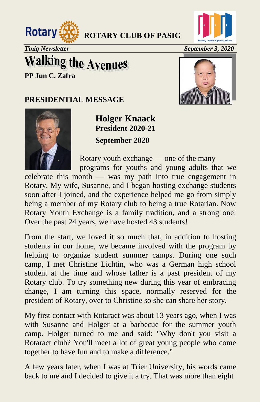



*Tinig Newsletter* September 3, 2020

## **Walking the Avenues**

**PP Jun C. Zafra**

#### **PRESIDENTIAL MESSAGE**





**Holger Knaack President 2020-21 September 2020**

Rotary youth exchange — one of the many

 programs for youths and young adults that we celebrate this month — was my path into true engagement in Rotary. My wife, Susanne, and I began hosting exchange students soon after I joined, and the experience helped me go from simply being a member of my Rotary club to being a true Rotarian. Now Rotary Youth Exchange is a family tradition, and a strong one: Over the past 24 years, we have hosted 43 students!

From the start, we loved it so much that, in addition to hosting students in our home, we became involved with the program by helping to organize student summer camps. During one such camp, I met Christine Lichtin, who was a German high school student at the time and whose father is a past president of my Rotary club. To try something new during this year of embracing change, I am turning this space, normally reserved for the president of Rotary, over to Christine so she can share her story.

My first contact with Rotaract was about 13 years ago, when I was with Susanne and Holger at a barbecue for the summer youth camp. Holger turned to me and said: "Why don't you visit a Rotaract club? You'll meet a lot of great young people who come together to have fun and to make a difference."

A few years later, when I was at Trier University, his words came back to me and I decided to give it a try. That was more than eight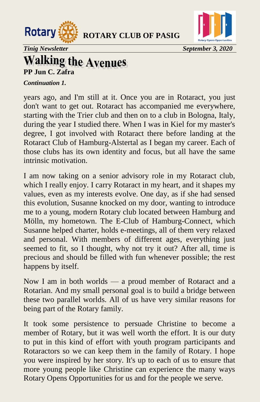



*Tinig Newsletter* September 3, 2020

# **Walking the Avenues**<br>PP Jun C. Zafra

#### *Continuation 1.*

years ago, and I'm still at it. Once you are in Rotaract, you just don't want to get out. Rotaract has accompanied me everywhere, starting with the Trier club and then on to a club in Bologna, Italy, during the year I studied there. When I was in Kiel for my master's degree, I got involved with Rotaract there before landing at the Rotaract Club of Hamburg-Alstertal as I began my career. Each of those clubs has its own identity and focus, but all have the same intrinsic motivation.

I am now taking on a senior advisory role in my Rotaract club, which I really enjoy. I carry Rotaract in my heart, and it shapes my values, even as my interests evolve. One day, as if she had sensed this evolution, Susanne knocked on my door, wanting to introduce me to a young, modern Rotary club located between Hamburg and Mölln, my hometown. The E-Club of Hamburg-Connect, which Susanne helped charter, holds e-meetings, all of them very relaxed and personal. With members of different ages, everything just seemed to fit, so I thought, why not try it out? After all, time is precious and should be filled with fun whenever possible; the rest happens by itself.

Now I am in both worlds — a proud member of Rotaract and a Rotarian. And my small personal goal is to build a bridge between these two parallel worlds. All of us have very similar reasons for being part of the Rotary family.

It took some persistence to persuade Christine to become a member of Rotary, but it was well worth the effort. It is our duty to put in this kind of effort with youth program participants and Rotaractors so we can keep them in the family of Rotary. I hope you were inspired by her story. It's up to each of us to ensure that more young people like Christine can experience the many ways Rotary Opens Opportunities for us and for the people we serve.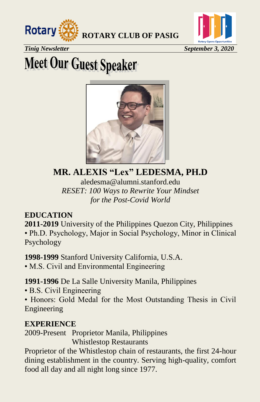



**Tinig Newsletter September 3, 2020** 

# **Meet Our Guest Speaker**



**MR. ALEXIS "Lex" LEDESMA, PH.D** aledesma@alumni.stanford.edu *RESET: 100 Ways to Rewrite Your Mindset for the Post-Covid World*

#### **EDUCATION**

**2011-2019** University of the Philippines Quezon City, Philippines • Ph.D. Psychology, Major in Social Psychology, Minor in Clinical Psychology

**1998-1999** Stanford University California, U.S.A.

• M.S. Civil and Environmental Engineering

**1991-1996** De La Salle University Manila, Philippines

- B.S. Civil Engineering
- Honors: Gold Medal for the Most Outstanding Thesis in Civil Engineering

#### **EXPERIENCE**

2009-Present Proprietor Manila, Philippines

Whistlestop Restaurants

Proprietor of the Whistlestop chain of restaurants, the first 24-hour dining establishment in the country. Serving high-quality, comfort food all day and all night long since 1977.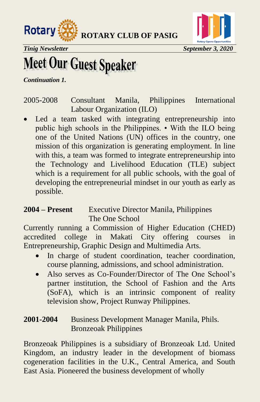



## **Meet Our Guest Speaker**

*Continuation 1.*

2005-2008 Consultant Manila, Philippines International Labour Organization (ILO)

 Led a team tasked with integrating entrepreneurship into public high schools in the Philippines. • With the ILO being one of the United Nations (UN) offices in the country, one mission of this organization is generating employment. In line with this, a team was formed to integrate entrepreneurship into the Technology and Livelihood Education (TLE) subject which is a requirement for all public schools, with the goal of developing the entrepreneurial mindset in our youth as early as possible.

#### **2004 – Present** Executive Director Manila, Philippines The One School

Currently running a Commission of Higher Education (CHED) accredited college in Makati City offering courses in Entrepreneurship, Graphic Design and Multimedia Arts.

- In charge of student coordination, teacher coordination, course planning, admissions, and school administration.
- Also serves as Co-Founder/Director of The One School's partner institution, the School of Fashion and the Arts (SoFA), which is an intrinsic component of reality television show, Project Runway Philippines.

#### **2001-2004** Business Development Manager Manila, Phils. Bronzeoak Philippines

Bronzeoak Philippines is a subsidiary of Bronzeoak Ltd. United Kingdom, an industry leader in the development of biomass cogeneration facilities in the U.K., Central America, and South East Asia. Pioneered the business development of wholly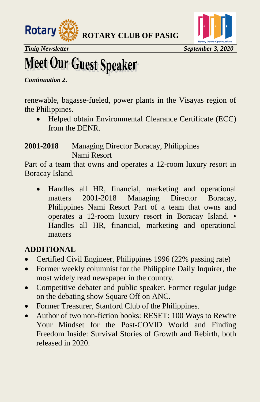



# **Meet Our Guest Speaker**

*Continuation 2.*

renewable, bagasse-fueled, power plants in the Visayas region of the Philippines.

 Helped obtain Environmental Clearance Certificate (ECC) from the DENR.

#### **2001-2018** Managing Director Boracay, Philippines Nami Resort

Part of a team that owns and operates a 12-room luxury resort in Boracay Island.

 Handles all HR, financial, marketing and operational matters 2001-2018 Managing Director Boracay, Philippines Nami Resort Part of a team that owns and operates a 12-room luxury resort in Boracay Island. • Handles all HR, financial, marketing and operational matters

#### **ADDITIONAL**

- Certified Civil Engineer, Philippines 1996 (22% passing rate)
- Former weekly columnist for the Philippine Daily Inquirer, the most widely read newspaper in the country.
- Competitive debater and public speaker. Former regular judge on the debating show Square Off on ANC.
- Former Treasurer, Stanford Club of the Philippines.
- Author of two non-fiction books: RESET: 100 Ways to Rewire Your Mindset for the Post-COVID World and Finding Freedom Inside: Survival Stories of Growth and Rebirth, both released in 2020.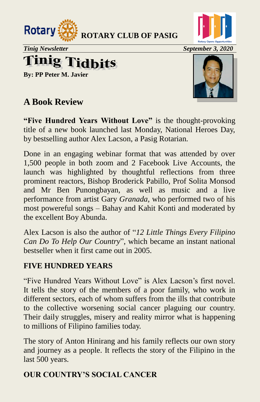



*Tinig Newsletter* September 3, 2020

# **Tinig Tidbits**

**By: PP Peter M. Javier**

### **A Book Review**



**"Five Hundred Years Without Love"** is the thought-provoking title of a new book launched last Monday, National Heroes Day, by bestselling author Alex Lacson, a Pasig Rotarian*.*

Done in an engaging webinar format that was attended by over 1,500 people in both zoom and 2 Facebook Live Accounts, the launch was highlighted by thoughtful reflections from three prominent reactors, Bishop Broderick Pabillo, Prof Solita Monsod and Mr Ben Punongbayan, as well as music and a live performance from artist Gary *Granada,* who performed two of his most powereful songs – Bahay and Kahit Konti and moderated by the excellent Boy Abunda.

Alex Lacson is also the author of "12 Little Things Every Filipino" *Can Do To Help Our Country*", which became an instant national bestseller when it first came out in 2005.

#### **FIVE HUNDRED YEARS**

"Five Hundred Years Without Love" is Alex Lacson's first novel. It tells the story of the members of a poor family, who work in different sectors, each of whom suffers from the ills that contribute to the collective worsening social cancer plaguing our country. Their daily struggles, misery and reality mirror what is happening to millions of Filipino families today.

The story of Anton Hinirang and his family reflects our own story and journey as a people. It reflects the story of the Filipino in the last 500 years.

#### **OUR COUNTRY'S SOCIAL CANCER**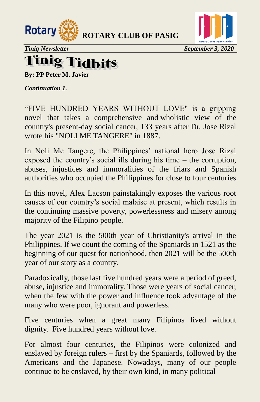



#### inig 7 l'idhits

**By: PP Peter M. Javier**

*Continuation 1.* 

"FIVE HUNDRED YEARS WITHOUT LOVE" is a gripping novel that takes a comprehensive and wholistic view of the country's present-day social cancer, 133 years after Dr. Jose Rizal wrote his "NOLI ME TANGERE" in 1887.

In Noli Me Tangere, the Philippines' national hero Jose Rizal exposed the country's social ills during his time – the corruption, abuses, injustices and immoralities of the friars and Spanish authorities who occupied the Philippines for close to four centuries.

In this novel, Alex Lacson painstakingly exposes the various root causes of our country's social malaise at present, which results in the continuing massive poverty, powerlessness and misery among majority of the Filipino people.

The year 2021 is the 500th year of Christianity's arrival in the Philippines. If we count the coming of the Spaniards in 1521 as the beginning of our quest for nationhood, then 2021 will be the 500th year of our story as a country.

Paradoxically, those last five hundred years were a period of greed, abuse, injustice and immorality. Those were years of social cancer, when the few with the power and influence took advantage of the many who were poor, ignorant and powerless.

Five centuries when a great many Filipinos lived without dignity. Five hundred years without love.

For almost four centuries, the Filipinos were colonized and enslaved by foreign rulers – first by the Spaniards, followed by the Americans and the Japanese. Nowadays, many of our people continue to be enslaved, by their own kind, in many political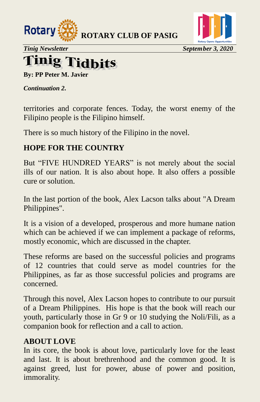



*Tinig Newsletter* September 3, 2020

#### **Tinig** l'idhits

**By: PP Peter M. Javier**

*Continuation 2.* 

territories and corporate fences. Today, the worst enemy of the Filipino people is the Filipino himself.

There is so much history of the Filipino in the novel.

#### **HOPE FOR THE COUNTRY**

But "FIVE HUNDRED YEARS" is not merely about the social ills of our nation. It is also about hope. It also offers a possible cure or solution.

In the last portion of the book, Alex Lacson talks about "A Dream Philippines".

It is a vision of a developed, prosperous and more humane nation which can be achieved if we can implement a package of reforms, mostly economic, which are discussed in the chapter.

These reforms are based on the successful policies and programs of 12 countries that could serve as model countries for the Philippines, as far as those successful policies and programs are concerned.

Through this novel, Alex Lacson hopes to contribute to our pursuit of a Dream Philippines. His hope is that the book will reach our youth, particularly those in Gr 9 or 10 studying the Noli/Fili, as a companion book for reflection and a call to action.

#### **ABOUT LOVE**

In its core, the book is about love, particularly love for the least and last. It is about brethrenhood and the common good. It is against greed, lust for power, abuse of power and position, immorality.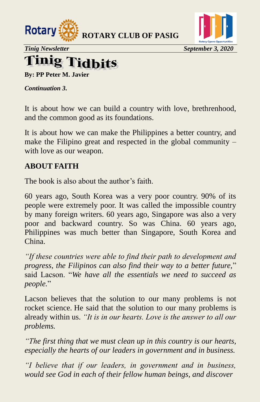



#### **injo lidhits**

**By: PP Peter M. Javier**

*Continuation 3.* 

It is about how we can build a country with love, brethrenhood, and the common good as its foundations.

It is about how we can make the Philippines a better country, and make the Filipino great and respected in the global community – with love as our weapon.

#### **ABOUT FAITH**

The book is also about the author's faith.

60 years ago, South Korea was a very poor country. 90% of its people were extremely poor. It was called the impossible country by many foreign writers. 60 years ago, Singapore was also a very poor and backward country. So was China. 60 years ago, Philippines was much better than Singapore, South Korea and China.

*"If these countries were able to find their path to development and progress, the Filipinos can also find their way to a better future,*" said Lacson. ―*We have all the essentials we need to succeed as people.*‖

Lacson believes that the solution to our many problems is not rocket science. He said that the solution to our many problems is already within us. *"It is in our hearts. Love is the answer to all our problems.*

*"The first thing that we must clean up in this country is our hearts, especially the hearts of our leaders in government and in business.*

*"I believe that if our leaders, in government and in business, would see God in each of their fellow human beings, and discover*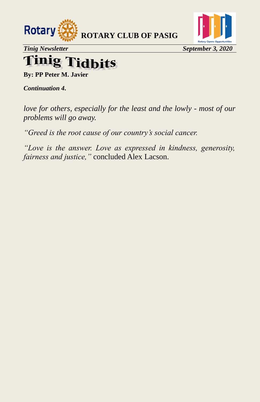

## **Tinig Tidbits**

**By: PP Peter M. Javier**

*Continuation 4.* 

*love for others, especially for the least and the lowly - most of our problems will go away.*

*"Greed is the root cause of our country's social cancer.*

*"Love is the answer. Love as expressed in kindness, generosity, fairness and justice,"* concluded Alex Lacson.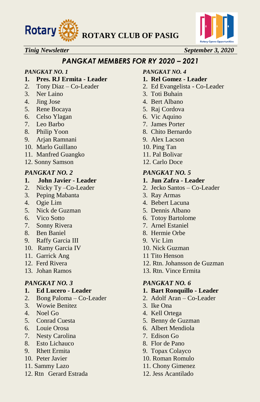



#### *PANGKAT MEMBERS FOR RY 2020 – 2021*

- **1. Pres. RJ Ermita - Leader 1. Rel Gomez - Leader**
- 
- 
- 
- 5. Rene Bocaya 5. Raj Cordova
- 6. Celso Ylagan 6. Vic Aquino
- 
- 
- 9. Arjan Ramnani 9. Alex Lacson
- 10. Marlo Guillano 10. Ping Tan
- 11. Manfred Guangko 11. Pal Bolivar
- 12. Sonny Samson 12. Carlo Doce

#### *PANGKAT NO. 2 PANGKAT NO. 5*

### **1. John Javier - Leader**<br> **2.** Nicky Ty - Co-Leader<br> **2.** Jecko Santos - Co-L

- 
- 3. Peping Mabanta 3. Ray Armas
- 
- 5. Nick de Guzman 5. Dennis Albano
- 
- 7. Sonny Rivera 7. Arnel Estaniel
- 8. Ben Baniel 8. Hermie Orbe
- 9. Raffy Garcia III 9. Vic Lim
- 10. Ramy Garcia IV 10. Nick Guzman
- 
- 
- 

- **1. Ed Lucero - Leader 1. Bart Ronquillo - Leader**
- 2. Bong Paloma Co-Leader 2. Adolf Aran Co-Leader
- 3. Wowie Benitez 3. Ike Ona
- 
- 
- 
- 7. Nesty Carolina 7. Edison Go
- 8. Esto Lichauco 8. Flor de Pano
- 
- 
- 
- 12. Rtn Gerard Estrada 12. Jess Acantilado

#### *PANGKAT NO. 1 PANGKAT NO. 4*

- 
- 2. Tony Diaz Co-Leader 2. Ed Evangelista Co-Leader
- 3. Ner Laino 3. Toti Buhain
- 4. Jing Jose 4. Bert Albano
	-
	-
- 7. Leo Barbo 7. James Porter
- 8. Philip Yoon 8. Chito Bernardo
	-
	-
	-
	-

- 
- 2. Nicky Ty –Co-Leader 2. Jecko Santos Co-Leader
	-
- 4. Ogie Lim 4. Bebert Lacuna
	-
- 6. Vico Sotto 6. Totoy Bartolome
	-
	-
	-
	-
- 11. Garrick Ang 11 Tito Henson
- 12. Ferd Rivera 12. Rtn. Johansson de Guzman
- 13. Johan Ramos 13. Rtn. Vince Ermita

#### *PANGKAT NO. 3 PANGKAT NO. 6*

- 
- 
- 
- 4. Noel Go 4. Kell Ortega
- 5. Conrad Cuesta 5. Benny de Guzman
- 6. Louie Orosa 6. Albert Mendiola
	-
	-
- 9. Rhett Ermita 9. Topax Colayco
- 10. Peter Javier 10. Roman Romulo
- 11. Sammy Lazo 11. Chony Gimenez
	-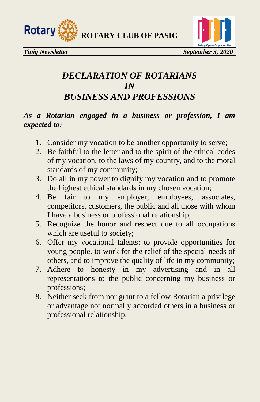

### *DECLARATION OF ROTARIANS IN BUSINESS AND PROFESSIONS*

#### *As a Rotarian engaged in a business or profession, I am expected to:*

- 1. Consider my vocation to be another opportunity to serve;
- 2. Be faithful to the letter and to the spirit of the ethical codes of my vocation, to the laws of my country, and to the moral standards of my community;
- 3. Do all in my power to dignify my vocation and to promote the highest ethical standards in my chosen vocation;
- 4. Be fair to my employer, employees, associates, competitors, customers, the public and all those with whom I have a business or professional relationship;
- 5. Recognize the honor and respect due to all occupations which are useful to society;
- 6. Offer my vocational talents: to provide opportunities for young people, to work for the relief of the special needs of others, and to improve the quality of life in my community;
- 7. Adhere to honesty in my advertising and in all representations to the public concerning my business or professions;
- 8. Neither seek from nor grant to a fellow Rotarian a privilege or advantage not normally accorded others in a business or professional relationship.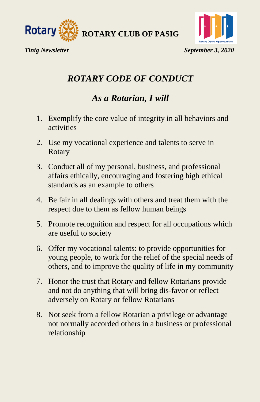



### *ROTARY CODE OF CONDUCT*

### *As a Rotarian, I will*

- 1. Exemplify the core value of integrity in all behaviors and activities
- 2. Use my vocational experience and talents to serve in Rotary
- 3. Conduct all of my personal, business, and professional affairs ethically, encouraging and fostering high ethical standards as an example to others
- 4. Be fair in all dealings with others and treat them with the respect due to them as fellow human beings
- 5. Promote recognition and respect for all occupations which are useful to society
- 6. Offer my vocational talents: to provide opportunities for young people, to work for the relief of the special needs of others, and to improve the quality of life in my community
- 7. Honor the trust that Rotary and fellow Rotarians provide and not do anything that will bring dis-favor or reflect adversely on Rotary or fellow Rotarians
- 8. Not seek from a fellow Rotarian a privilege or advantage not normally accorded others in a business or professional relationship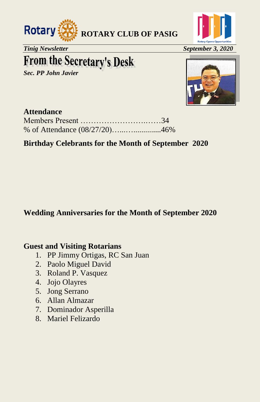



*Tinig Newsletter September 3, 2020* 

## **From the Secretary's Desk**

*Sec. PP John Javier* 



#### **Attendance**

#### **Birthday Celebrants for the Month of September 2020**

#### **Wedding Anniversaries for the Month of September 2020**

#### **Guest and Visiting Rotarians**

- 1. PP Jimmy Ortigas, RC San Juan
- 2. Paolo Miguel David
- 3. Roland P. Vasquez
- 4. Jojo Olayres
- 5. Jong Serrano
- 6. Allan Almazar
- 7. Dominador Asperilla
- 8. Mariel Felizardo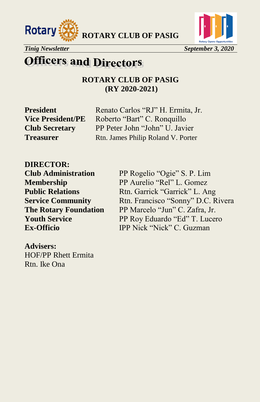





#### *Tinig Newsletter* September 3, 2020

### **Officers and Directors**

**ROTARY CLUB OF PASIG (RY 2020-2021)**

**President** Renato Carlos "RJ" H. Ermita, Jr. **Vice President/PE** Roberto "Bart" C. Ronquillo **Club Secretary** PP Peter John "John" U. Javier **Treasurer** Rtn. James Philip Roland V. Porter

**DIRECTOR: Club Administration** PP Rogelio "Ogie" S. P. Lim

**Membership** PP Aurelio "Rel" L. Gomez **Public Relations** Rtn. Garrick "Garrick" L. Ang **Service Community** Rtn. Francisco "Sonny" D.C. Rivera **The Rotary Foundation** PP Marcelo "Jun" C. Zafra, Jr.<br> **Youth Service** PP Rov Eduardo "Ed" T. Luce **PP Roy Eduardo "Ed" T. Lucero Ex-Officio IPP Nick "Nick" C. Guzman** 

**Advisers:** HOF/PP Rhett Ermita Rtn. Ike Ona